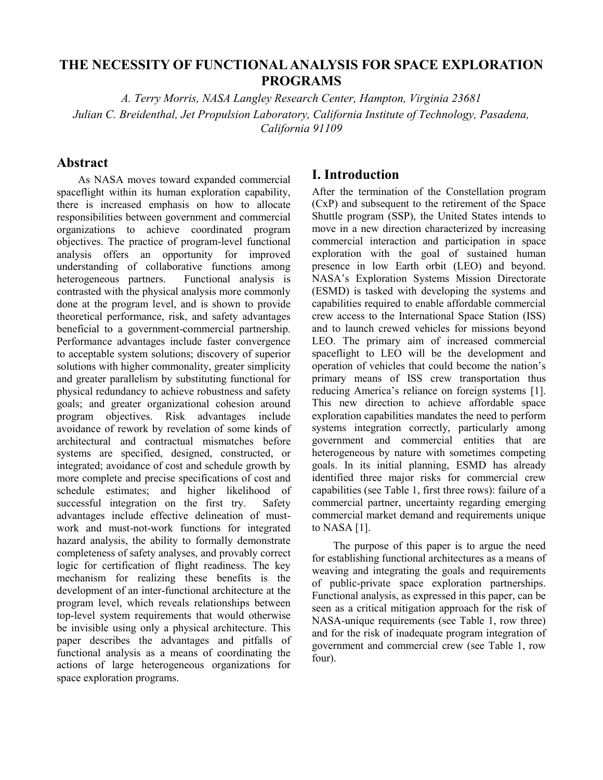# **THE NECESSITY OF FUNCTIONAL ANALYSIS FOR SPACE EXPLORATION PROGRAMS**

*A. Terry Morris, NASA Langley Research Center, Hampton, Virginia 23681 Julian C. Breidenthal, Jet Propulsion Laboratory, California Institute of Technology, Pasadena, California 91109* 

## **Abstract**

As NASA moves toward expanded commercial spaceflight within its human exploration capability, there is increased emphasis on how to allocate responsibilities between government and commercial organizations to achieve coordinated program objectives. The practice of program-level functional analysis offers an opportunity for improved understanding of collaborative functions among heterogeneous partners. Functional analysis is contrasted with the physical analysis more commonly done at the program level, and is shown to provide theoretical performance, risk, and safety advantages beneficial to a government-commercial partnership. Performance advantages include faster convergence to acceptable system solutions; discovery of superior solutions with higher commonality, greater simplicity and greater parallelism by substituting functional for physical redundancy to achieve robustness and safety goals; and greater organizational cohesion around program objectives. Risk advantages include avoidance of rework by revelation of some kinds of architectural and contractual mismatches before systems are specified, designed, constructed, or integrated; avoidance of cost and schedule growth by more complete and precise specifications of cost and schedule estimates; and higher likelihood of successful integration on the first try. Safety advantages include effective delineation of mustwork and must-not-work functions for integrated hazard analysis, the ability to formally demonstrate completeness of safety analyses, and provably correct logic for certification of flight readiness. The key mechanism for realizing these benefits is the development of an inter-functional architecture at the program level, which reveals relationships between top-level system requirements that would otherwise be invisible using only a physical architecture. This paper describes the advantages and pitfalls of functional analysis as a means of coordinating the actions of large heterogeneous organizations for space exploration programs.

## **I. Introduction**

After the termination of the Constellation program (CxP) and subsequent to the retirement of the Space Shuttle program (SSP), the United States intends to move in a new direction characterized by increasing commercial interaction and participation in space exploration with the goal of sustained human presence in low Earth orbit (LEO) and beyond. NASA's Exploration Systems Mission Directorate (ESMD) is tasked with developing the systems and capabilities required to enable affordable commercial crew access to the International Space Station (ISS) and to launch crewed vehicles for missions beyond LEO. The primary aim of increased commercial spaceflight to LEO will be the development and operation of vehicles that could become the nation's primary means of ISS crew transportation thus reducing America's reliance on foreign systems [1]. This new direction to achieve affordable space exploration capabilities mandates the need to perform systems integration correctly, particularly among government and commercial entities that are heterogeneous by nature with sometimes competing goals. In its initial planning, ESMD has already identified three major risks for commercial crew capabilities (see Table 1, first three rows): failure of a commercial partner, uncertainty regarding emerging commercial market demand and requirements unique to NASA [1].

The purpose of this paper is to argue the need for establishing functional architectures as a means of weaving and integrating the goals and requirements of public-private space exploration partnerships. Functional analysis, as expressed in this paper, can be seen as a critical mitigation approach for the risk of NASA-unique requirements (see Table 1, row three) and for the risk of inadequate program integration of government and commercial crew (see Table 1, row four).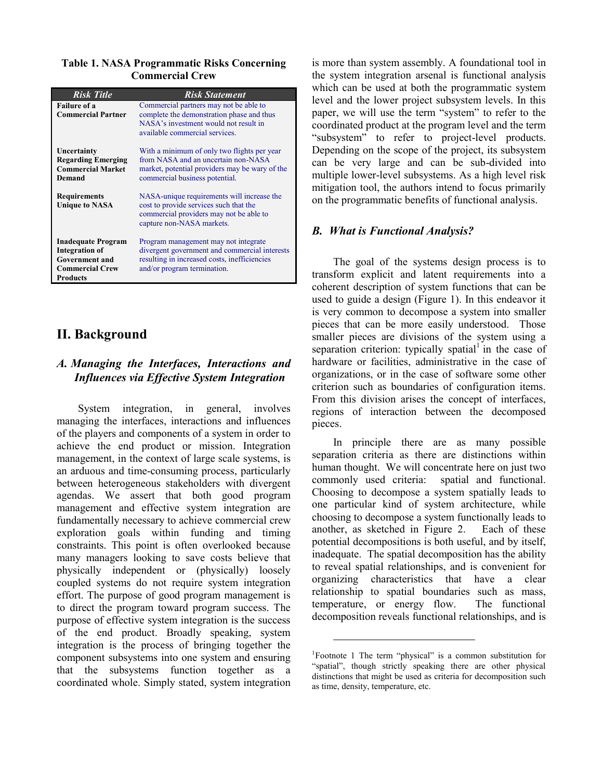**Table 1. NASA Programmatic Risks Concerning Commercial Crew** 

| <b>Risk Title</b>                                                                                                        | <b>Risk Statement</b>                                                                                                                                                  |
|--------------------------------------------------------------------------------------------------------------------------|------------------------------------------------------------------------------------------------------------------------------------------------------------------------|
| <b>Failure of a</b><br><b>Commercial Partner</b>                                                                         | Commercial partners may not be able to<br>complete the demonstration phase and thus<br>NASA's investment would not result in<br>available commercial services.         |
| Uncertainty<br><b>Regarding Emerging</b><br><b>Commercial Market</b><br><b>Demand</b>                                    | With a minimum of only two flights per year<br>from NASA and an uncertain non-NASA<br>market, potential providers may be wary of the<br>commercial business potential. |
| <b>Requirements</b><br><b>Unique to NASA</b>                                                                             | NASA-unique requirements will increase the<br>cost to provide services such that the<br>commercial providers may not be able to<br>capture non-NASA markets.           |
| <b>Inadequate Program</b><br><b>Integration of</b><br><b>Government and</b><br><b>Commercial Crew</b><br><b>Products</b> | Program management may not integrate<br>divergent government and commercial interests<br>resulting in increased costs, inefficiencies<br>and/or program termination.   |

# **II. Background**

## *A. Managing the Interfaces, Interactions and Influences via Effective System Integration*

System integration, in general, involves managing the interfaces, interactions and influences of the players and components of a system in order to achieve the end product or mission. Integration management, in the context of large scale systems, is an arduous and time-consuming process, particularly between heterogeneous stakeholders with divergent agendas. We assert that both good program management and effective system integration are fundamentally necessary to achieve commercial crew exploration goals within funding and timing constraints. This point is often overlooked because many managers looking to save costs believe that physically independent or (physically) loosely coupled systems do not require system integration effort. The purpose of good program management is to direct the program toward program success. The purpose of effective system integration is the success of the end product. Broadly speaking, system integration is the process of bringing together the component subsystems into one system and ensuring that the subsystems function together as a coordinated whole. Simply stated, system integration

is more than system assembly. A foundational tool in the system integration arsenal is functional analysis which can be used at both the programmatic system level and the lower project subsystem levels. In this paper, we will use the term "system" to refer to the coordinated product at the program level and the term "subsystem" to refer to project-level products. Depending on the scope of the project, its subsystem can be very large and can be sub-divided into multiple lower-level subsystems. As a high level risk mitigation tool, the authors intend to focus primarily on the programmatic benefits of functional analysis.

## *B. What is Functional Analysis?*

The goal of the systems design process is to transform explicit and latent requirements into a coherent description of system functions that can be used to guide a design (Figure 1). In this endeavor it is very common to decompose a system into smaller pieces that can be more easily understood. Those smaller pieces are divisions of the system using a separation criterion: typically spatial<sup>1</sup> in the case of hardware or facilities, administrative in the case of organizations, or in the case of software some other criterion such as boundaries of configuration items. From this division arises the concept of interfaces, regions of interaction between the decomposed pieces.

In principle there are as many possible separation criteria as there are distinctions within human thought. We will concentrate here on just two commonly used criteria: spatial and functional. Choosing to decompose a system spatially leads to one particular kind of system architecture, while choosing to decompose a system functionally leads to another, as sketched in Figure 2. Each of these potential decompositions is both useful, and by itself, inadequate. The spatial decomposition has the ability to reveal spatial relationships, and is convenient for organizing characteristics that have a clear relationship to spatial boundaries such as mass, temperature, or energy flow. The functional decomposition reveals functional relationships, and is

 $\overline{a}$ 

<sup>&</sup>lt;sup>1</sup>Footnote 1 The term "physical" is a common substitution for "spatial", though strictly speaking there are other physical distinctions that might be used as criteria for decomposition such as time, density, temperature, etc.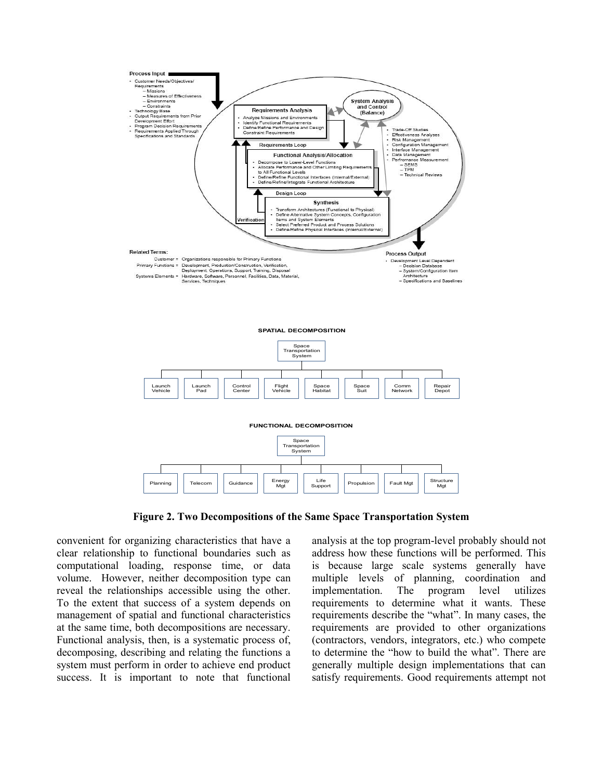

**Figure 2. Two Decompositions of the Same Space Transportation System** 

convenient for organizing characteristics that have a clear relationship to functional boundaries such as computational loading, response time, or data volume. However, neither decomposition type can reveal the relationships accessible using the other. To the extent that success of a system depends on management of spatial and functional characteristics at the same time, both decompositions are necessary. Functional analysis, then, is a systematic process of, decomposing, describing and relating the functions a system must perform in order to achieve end product success. It is important to note that functional analysis at the top program-level probably should not address how these functions will be performed. This is because large scale systems generally have multiple levels of planning, coordination and implementation. The program level utilizes requirements to determine what it wants. These requirements describe the "what". In many cases, the requirements are provided to other organizations (contractors, vendors, integrators, etc.) who compete to determine the "how to build the what". There are generally multiple design implementations that can satisfy requirements. Good requirements attempt not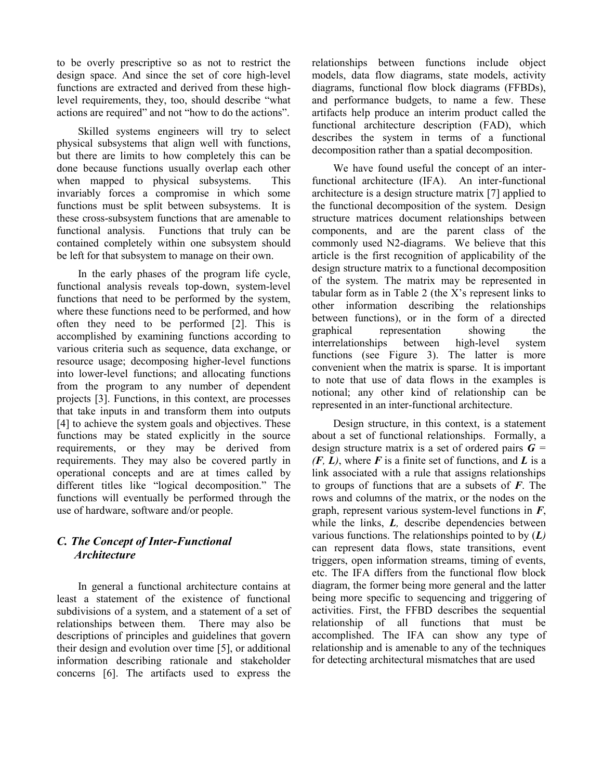to be overly prescriptive so as not to restrict the design space. And since the set of core high-level functions are extracted and derived from these highlevel requirements, they, too, should describe "what actions are required" and not "how to do the actions".

Skilled systems engineers will try to select physical subsystems that align well with functions, but there are limits to how completely this can be done because functions usually overlap each other when mapped to physical subsystems. This invariably forces a compromise in which some functions must be split between subsystems. It is these cross-subsystem functions that are amenable to functional analysis. Functions that truly can be contained completely within one subsystem should be left for that subsystem to manage on their own.

In the early phases of the program life cycle, functional analysis reveals top-down, system-level functions that need to be performed by the system, where these functions need to be performed, and how often they need to be performed [2]. This is accomplished by examining functions according to various criteria such as sequence, data exchange, or resource usage; decomposing higher-level functions into lower-level functions; and allocating functions from the program to any number of dependent projects [3]. Functions, in this context, are processes that take inputs in and transform them into outputs [4] to achieve the system goals and objectives. These functions may be stated explicitly in the source requirements, or they may be derived from requirements. They may also be covered partly in operational concepts and are at times called by different titles like "logical decomposition." The functions will eventually be performed through the use of hardware, software and/or people.

# *C. The Concept of Inter-Functional Architecture*

In general a functional architecture contains at least a statement of the existence of functional subdivisions of a system, and a statement of a set of relationships between them. There may also be descriptions of principles and guidelines that govern their design and evolution over time [5], or additional information describing rationale and stakeholder concerns [6]. The artifacts used to express the relationships between functions include object models, data flow diagrams, state models, activity diagrams, functional flow block diagrams (FFBDs), and performance budgets, to name a few. These artifacts help produce an interim product called the functional architecture description (FAD), which describes the system in terms of a functional decomposition rather than a spatial decomposition.

We have found useful the concept of an interfunctional architecture (IFA). An inter-functional architecture is a design structure matrix [7] applied to the functional decomposition of the system. Design structure matrices document relationships between components, and are the parent class of the commonly used N2-diagrams. We believe that this article is the first recognition of applicability of the design structure matrix to a functional decomposition of the system. The matrix may be represented in tabular form as in Table 2 (the X's represent links to other information describing the relationships between functions), or in the form of a directed graphical representation showing the interrelationships between high-level system functions (see Figure 3). The latter is more convenient when the matrix is sparse. It is important to note that use of data flows in the examples is notional; any other kind of relationship can be represented in an inter-functional architecture.

Design structure, in this context, is a statement about a set of functional relationships. Formally, a design structure matrix is a set of ordered pairs *G =*   $(F, L)$ , where  $F$  is a finite set of functions, and  $L$  is a link associated with a rule that assigns relationships to groups of functions that are a subsets of *F*. The rows and columns of the matrix, or the nodes on the graph, represent various system-level functions in *F*, while the links, *L*, describe dependencies between various functions. The relationships pointed to by (*L)* can represent data flows, state transitions, event triggers, open information streams, timing of events, etc. The IFA differs from the functional flow block diagram, the former being more general and the latter being more specific to sequencing and triggering of activities. First, the FFBD describes the sequential relationship of all functions that must be accomplished. The IFA can show any type of relationship and is amenable to any of the techniques for detecting architectural mismatches that are used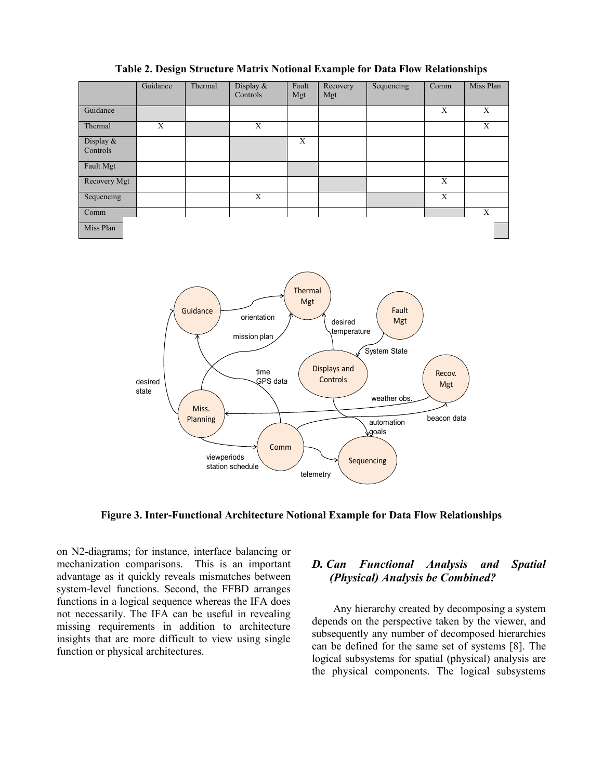|                       | Guidance | Thermal | Display &<br>Controls | Fault<br>Mgt | Recovery<br>Mgt | Sequencing | Comm | Miss Plan |
|-----------------------|----------|---------|-----------------------|--------------|-----------------|------------|------|-----------|
| Guidance              |          |         |                       |              |                 |            | X    | X         |
| Thermal               | X        |         | X                     |              |                 |            |      | X         |
| Display &<br>Controls |          |         |                       | X            |                 |            |      |           |
| Fault Mgt             |          |         |                       |              |                 |            |      |           |
| Recovery Mgt          |          |         |                       |              |                 |            | X    |           |
| Sequencing            |          |         | X                     |              |                 |            | X    |           |
| Comm                  |          |         |                       |              |                 |            |      | X         |
| Miss Plan             |          |         |                       |              |                 |            |      |           |

**Table 2. Design Structure Matrix Notional Example for Data Flow Relationships** 



**Figure 3. Inter-Functional Architecture Notional Example for Data Flow Relationships** 

on N2-diagrams; for instance, interface balancing or mechanization comparisons. This is an important advantage as it quickly reveals mismatches between system-level functions. Second, the FFBD arranges functions in a logical sequence whereas the IFA does not necessarily. The IFA can be useful in revealing missing requirements in addition to architecture insights that are more difficult to view using single function or physical architectures.

## *D. Can Functional Analysis and Spatial (Physical) Analysis be Combined?*

Any hierarchy created by decomposing a system depends on the perspective taken by the viewer, and subsequently any number of decomposed hierarchies can be defined for the same set of systems [8]. The logical subsystems for spatial (physical) analysis are the physical components. The logical subsystems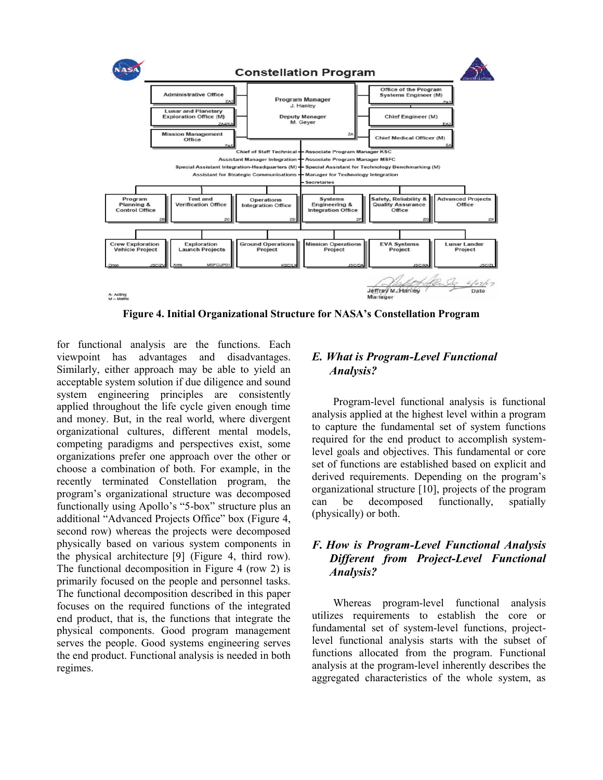

**Figure 4. Initial Organizational Structure for NASA's Constellation Program** 

for functional analysis are the functions. Each viewpoint has advantages and disadvantages. Similarly, either approach may be able to yield an acceptable system solution if due diligence and sound system engineering principles are consistently applied throughout the life cycle given enough time and money. But, in the real world, where divergent organizational cultures, different mental models, competing paradigms and perspectives exist, some organizations prefer one approach over the other or choose a combination of both. For example, in the recently terminated Constellation program, the program's organizational structure was decomposed functionally using Apollo's "5-box" structure plus an additional "Advanced Projects Office" box (Figure 4, second row) whereas the projects were decomposed physically based on various system components in the physical architecture [9] (Figure 4, third row). The functional decomposition in Figure 4 (row 2) is primarily focused on the people and personnel tasks. The functional decomposition described in this paper focuses on the required functions of the integrated end product, that is, the functions that integrate the physical components. Good program management serves the people. Good systems engineering serves the end product. Functional analysis is needed in both regimes.

## *E. What is Program-Level Functional Analysis?*

Program-level functional analysis is functional analysis applied at the highest level within a program to capture the fundamental set of system functions required for the end product to accomplish systemlevel goals and objectives. This fundamental or core set of functions are established based on explicit and derived requirements. Depending on the program's organizational structure [10], projects of the program can be decomposed functionally, spatially (physically) or both.

## *F. How is Program-Level Functional Analysis Different from Project-Level Functional Analysis?*

Whereas program-level functional analysis utilizes requirements to establish the core or fundamental set of system-level functions, projectlevel functional analysis starts with the subset of functions allocated from the program. Functional analysis at the program-level inherently describes the aggregated characteristics of the whole system, as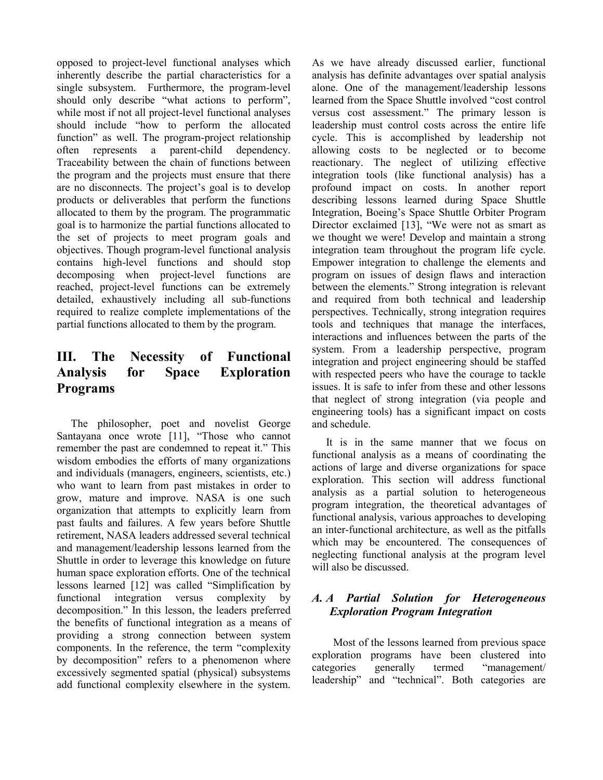opposed to project-level functional analyses which inherently describe the partial characteristics for a single subsystem. Furthermore, the program-level should only describe "what actions to perform", while most if not all project-level functional analyses should include "how to perform the allocated function" as well. The program-project relationship often represents a parent-child dependency. Traceability between the chain of functions between the program and the projects must ensure that there are no disconnects. The project's goal is to develop products or deliverables that perform the functions allocated to them by the program. The programmatic goal is to harmonize the partial functions allocated to the set of projects to meet program goals and objectives. Though program-level functional analysis contains high-level functions and should stop decomposing when project-level functions are reached, project-level functions can be extremely detailed, exhaustively including all sub-functions required to realize complete implementations of the partial functions allocated to them by the program.

# **III. The Necessity of Functional Analysis for Space Exploration Programs**

The philosopher, poet and novelist George Santayana once wrote [11], "Those who cannot remember the past are condemned to repeat it." This wisdom embodies the efforts of many organizations and individuals (managers, engineers, scientists, etc.) who want to learn from past mistakes in order to grow, mature and improve. NASA is one such organization that attempts to explicitly learn from past faults and failures. A few years before Shuttle retirement, NASA leaders addressed several technical and management/leadership lessons learned from the Shuttle in order to leverage this knowledge on future human space exploration efforts. One of the technical lessons learned [12] was called "Simplification by functional integration versus complexity by decomposition." In this lesson, the leaders preferred the benefits of functional integration as a means of providing a strong connection between system components. In the reference, the term "complexity by decomposition" refers to a phenomenon where excessively segmented spatial (physical) subsystems add functional complexity elsewhere in the system. As we have already discussed earlier, functional analysis has definite advantages over spatial analysis alone. One of the management/leadership lessons learned from the Space Shuttle involved "cost control versus cost assessment." The primary lesson is leadership must control costs across the entire life cycle. This is accomplished by leadership not allowing costs to be neglected or to become reactionary. The neglect of utilizing effective integration tools (like functional analysis) has a profound impact on costs. In another report describing lessons learned during Space Shuttle Integration, Boeing's Space Shuttle Orbiter Program Director exclaimed [13], "We were not as smart as we thought we were! Develop and maintain a strong integration team throughout the program life cycle. Empower integration to challenge the elements and program on issues of design flaws and interaction between the elements." Strong integration is relevant and required from both technical and leadership perspectives. Technically, strong integration requires tools and techniques that manage the interfaces, interactions and influences between the parts of the system. From a leadership perspective, program integration and project engineering should be staffed with respected peers who have the courage to tackle issues. It is safe to infer from these and other lessons that neglect of strong integration (via people and engineering tools) has a significant impact on costs and schedule.

It is in the same manner that we focus on functional analysis as a means of coordinating the actions of large and diverse organizations for space exploration. This section will address functional analysis as a partial solution to heterogeneous program integration, the theoretical advantages of functional analysis, various approaches to developing an inter-functional architecture, as well as the pitfalls which may be encountered. The consequences of neglecting functional analysis at the program level will also be discussed.

## *A. A Partial Solution for Heterogeneous Exploration Program Integration*

Most of the lessons learned from previous space exploration programs have been clustered into categories generally termed "management/ leadership" and "technical". Both categories are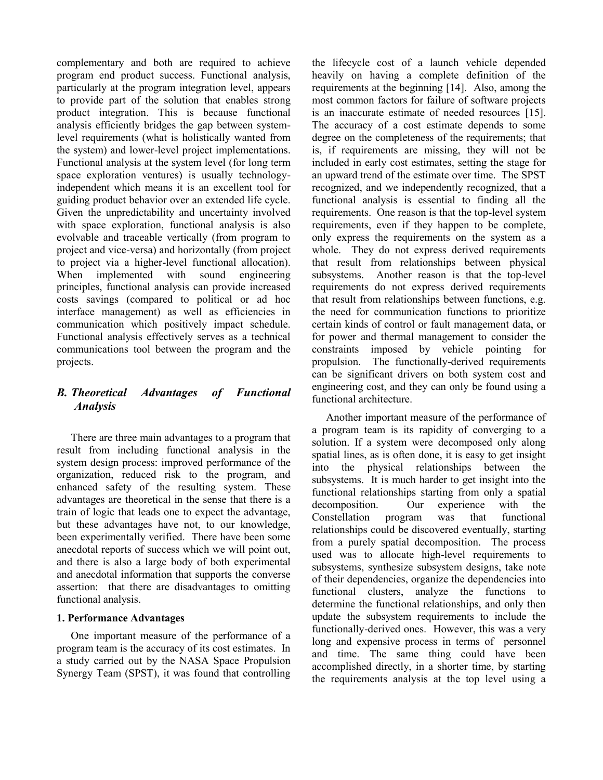complementary and both are required to achieve program end product success. Functional analysis, particularly at the program integration level, appears to provide part of the solution that enables strong product integration. This is because functional analysis efficiently bridges the gap between systemlevel requirements (what is holistically wanted from the system) and lower-level project implementations. Functional analysis at the system level (for long term space exploration ventures) is usually technologyindependent which means it is an excellent tool for guiding product behavior over an extended life cycle. Given the unpredictability and uncertainty involved with space exploration, functional analysis is also evolvable and traceable vertically (from program to project and vice-versa) and horizontally (from project to project via a higher-level functional allocation). When implemented with sound engineering principles, functional analysis can provide increased costs savings (compared to political or ad hoc interface management) as well as efficiencies in communication which positively impact schedule. Functional analysis effectively serves as a technical communications tool between the program and the projects.

## *B. Theoretical Advantages of Functional Analysis*

There are three main advantages to a program that result from including functional analysis in the system design process: improved performance of the organization, reduced risk to the program, and enhanced safety of the resulting system. These advantages are theoretical in the sense that there is a train of logic that leads one to expect the advantage, but these advantages have not, to our knowledge, been experimentally verified. There have been some anecdotal reports of success which we will point out, and there is also a large body of both experimental and anecdotal information that supports the converse assertion: that there are disadvantages to omitting functional analysis.

## **1. Performance Advantages**

One important measure of the performance of a program team is the accuracy of its cost estimates. In a study carried out by the NASA Space Propulsion Synergy Team (SPST), it was found that controlling the lifecycle cost of a launch vehicle depended heavily on having a complete definition of the requirements at the beginning [14]. Also, among the most common factors for failure of software projects is an inaccurate estimate of needed resources [15]. The accuracy of a cost estimate depends to some degree on the completeness of the requirements; that is, if requirements are missing, they will not be included in early cost estimates, setting the stage for an upward trend of the estimate over time. The SPST recognized, and we independently recognized, that a functional analysis is essential to finding all the requirements. One reason is that the top-level system requirements, even if they happen to be complete, only express the requirements on the system as a whole. They do not express derived requirements that result from relationships between physical subsystems. Another reason is that the top-level requirements do not express derived requirements that result from relationships between functions, e.g. the need for communication functions to prioritize certain kinds of control or fault management data, or for power and thermal management to consider the constraints imposed by vehicle pointing for propulsion. The functionally-derived requirements can be significant drivers on both system cost and engineering cost, and they can only be found using a functional architecture.

Another important measure of the performance of a program team is its rapidity of converging to a solution. If a system were decomposed only along spatial lines, as is often done, it is easy to get insight into the physical relationships between the subsystems. It is much harder to get insight into the functional relationships starting from only a spatial decomposition. Our experience with the Constellation program was that functional relationships could be discovered eventually, starting from a purely spatial decomposition. The process used was to allocate high-level requirements to subsystems, synthesize subsystem designs, take note of their dependencies, organize the dependencies into functional clusters, analyze the functions to determine the functional relationships, and only then update the subsystem requirements to include the functionally-derived ones. However, this was a very long and expensive process in terms of personnel and time. The same thing could have been accomplished directly, in a shorter time, by starting the requirements analysis at the top level using a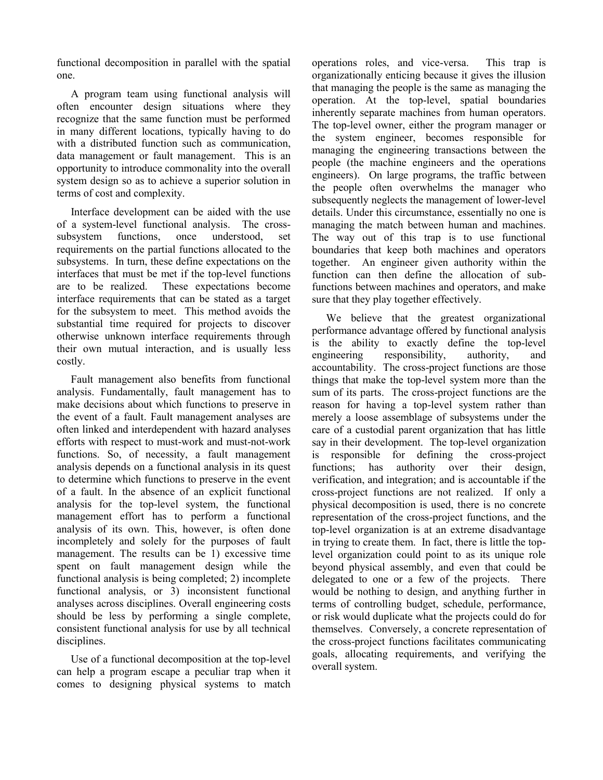functional decomposition in parallel with the spatial one.

A program team using functional analysis will often encounter design situations where they recognize that the same function must be performed in many different locations, typically having to do with a distributed function such as communication. data management or fault management. This is an opportunity to introduce commonality into the overall system design so as to achieve a superior solution in terms of cost and complexity.

Interface development can be aided with the use of a system-level functional analysis. The crosssubsystem functions, once understood, set requirements on the partial functions allocated to the subsystems. In turn, these define expectations on the interfaces that must be met if the top-level functions are to be realized. These expectations become interface requirements that can be stated as a target for the subsystem to meet. This method avoids the substantial time required for projects to discover otherwise unknown interface requirements through their own mutual interaction, and is usually less costly.

Fault management also benefits from functional analysis. Fundamentally, fault management has to make decisions about which functions to preserve in the event of a fault. Fault management analyses are often linked and interdependent with hazard analyses efforts with respect to must-work and must-not-work functions. So, of necessity, a fault management analysis depends on a functional analysis in its quest to determine which functions to preserve in the event of a fault. In the absence of an explicit functional analysis for the top-level system, the functional management effort has to perform a functional analysis of its own. This, however, is often done incompletely and solely for the purposes of fault management. The results can be 1) excessive time spent on fault management design while the functional analysis is being completed; 2) incomplete functional analysis, or 3) inconsistent functional analyses across disciplines. Overall engineering costs should be less by performing a single complete, consistent functional analysis for use by all technical disciplines.

Use of a functional decomposition at the top-level can help a program escape a peculiar trap when it comes to designing physical systems to match operations roles, and vice-versa. This trap is organizationally enticing because it gives the illusion that managing the people is the same as managing the operation. At the top-level, spatial boundaries inherently separate machines from human operators. The top-level owner, either the program manager or the system engineer, becomes responsible for managing the engineering transactions between the people (the machine engineers and the operations engineers). On large programs, the traffic between the people often overwhelms the manager who subsequently neglects the management of lower-level details. Under this circumstance, essentially no one is managing the match between human and machines. The way out of this trap is to use functional boundaries that keep both machines and operators together. An engineer given authority within the function can then define the allocation of subfunctions between machines and operators, and make sure that they play together effectively.

We believe that the greatest organizational performance advantage offered by functional analysis is the ability to exactly define the top-level engineering responsibility, authority, and accountability. The cross-project functions are those things that make the top-level system more than the sum of its parts. The cross-project functions are the reason for having a top-level system rather than merely a loose assemblage of subsystems under the care of a custodial parent organization that has little say in their development. The top-level organization is responsible for defining the cross-project functions; has authority over their design, verification, and integration; and is accountable if the cross-project functions are not realized. If only a physical decomposition is used, there is no concrete representation of the cross-project functions, and the top-level organization is at an extreme disadvantage in trying to create them. In fact, there is little the toplevel organization could point to as its unique role beyond physical assembly, and even that could be delegated to one or a few of the projects. There would be nothing to design, and anything further in terms of controlling budget, schedule, performance, or risk would duplicate what the projects could do for themselves. Conversely, a concrete representation of the cross-project functions facilitates communicating goals, allocating requirements, and verifying the overall system.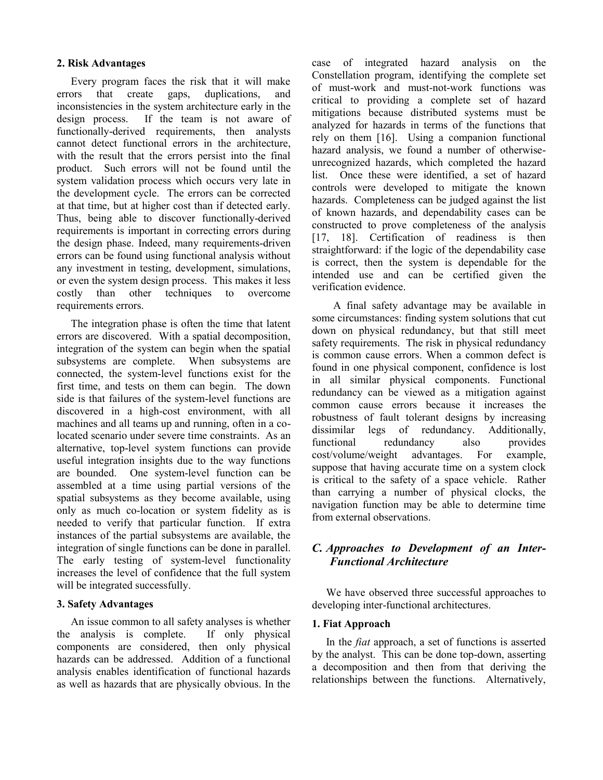### **2. Risk Advantages**

Every program faces the risk that it will make errors that create gaps, duplications, and inconsistencies in the system architecture early in the design process. If the team is not aware of functionally-derived requirements, then analysts cannot detect functional errors in the architecture, with the result that the errors persist into the final product. Such errors will not be found until the system validation process which occurs very late in the development cycle. The errors can be corrected at that time, but at higher cost than if detected early. Thus, being able to discover functionally-derived requirements is important in correcting errors during the design phase. Indeed, many requirements-driven errors can be found using functional analysis without any investment in testing, development, simulations, or even the system design process. This makes it less costly than other techniques to overcome requirements errors.

The integration phase is often the time that latent errors are discovered. With a spatial decomposition, integration of the system can begin when the spatial subsystems are complete. When subsystems are connected, the system-level functions exist for the first time, and tests on them can begin. The down side is that failures of the system-level functions are discovered in a high-cost environment, with all machines and all teams up and running, often in a colocated scenario under severe time constraints. As an alternative, top-level system functions can provide useful integration insights due to the way functions are bounded. One system-level function can be assembled at a time using partial versions of the spatial subsystems as they become available, using only as much co-location or system fidelity as is needed to verify that particular function. If extra instances of the partial subsystems are available, the integration of single functions can be done in parallel. The early testing of system-level functionality increases the level of confidence that the full system will be integrated successfully.

## **3. Safety Advantages**

An issue common to all safety analyses is whether the analysis is complete. If only physical components are considered, then only physical hazards can be addressed. Addition of a functional analysis enables identification of functional hazards as well as hazards that are physically obvious. In the case of integrated hazard analysis on the Constellation program, identifying the complete set of must-work and must-not-work functions was critical to providing a complete set of hazard mitigations because distributed systems must be analyzed for hazards in terms of the functions that rely on them [16]. Using a companion functional hazard analysis, we found a number of otherwiseunrecognized hazards, which completed the hazard list. Once these were identified, a set of hazard controls were developed to mitigate the known hazards. Completeness can be judged against the list of known hazards, and dependability cases can be constructed to prove completeness of the analysis [17, 18]. Certification of readiness is then straightforward: if the logic of the dependability case is correct, then the system is dependable for the intended use and can be certified given the verification evidence.

A final safety advantage may be available in some circumstances: finding system solutions that cut down on physical redundancy, but that still meet safety requirements. The risk in physical redundancy is common cause errors. When a common defect is found in one physical component, confidence is lost in all similar physical components. Functional redundancy can be viewed as a mitigation against common cause errors because it increases the robustness of fault tolerant designs by increasing dissimilar legs of redundancy. Additionally, functional redundancy also provides cost/volume/weight advantages. For example, suppose that having accurate time on a system clock is critical to the safety of a space vehicle. Rather than carrying a number of physical clocks, the navigation function may be able to determine time from external observations.

## *C. Approaches to Development of an Inter-Functional Architecture*

We have observed three successful approaches to developing inter-functional architectures.

#### **1. Fiat Approach**

In the *fiat* approach, a set of functions is asserted by the analyst. This can be done top-down, asserting a decomposition and then from that deriving the relationships between the functions. Alternatively,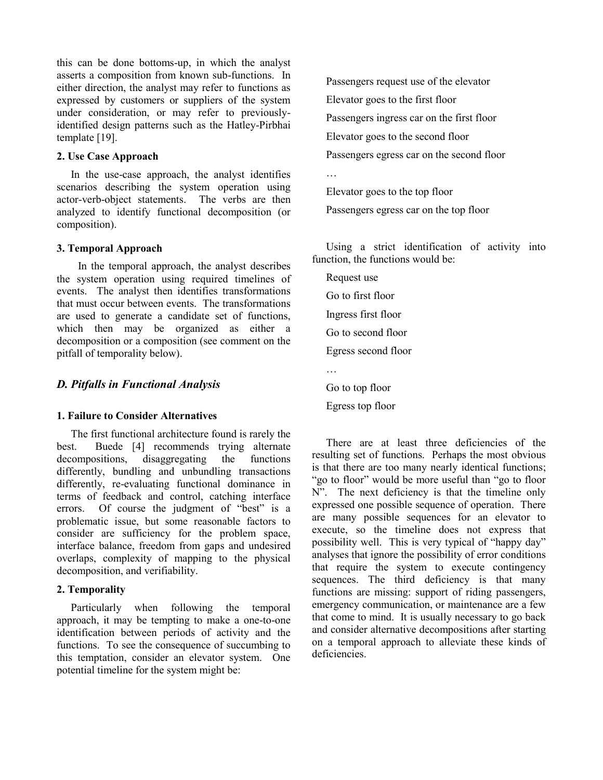this can be done bottoms-up, in which the analyst asserts a composition from known sub-functions. In either direction, the analyst may refer to functions as expressed by customers or suppliers of the system under consideration, or may refer to previouslyidentified design patterns such as the Hatley-Pirbhai template [19].

#### **2. Use Case Approach**

In the use-case approach, the analyst identifies scenarios describing the system operation using actor-verb-object statements. The verbs are then analyzed to identify functional decomposition (or composition).

#### **3. Temporal Approach**

In the temporal approach, the analyst describes the system operation using required timelines of events. The analyst then identifies transformations that must occur between events. The transformations are used to generate a candidate set of functions, which then may be organized as either a decomposition or a composition (see comment on the pitfall of temporality below).

#### *D. Pitfalls in Functional Analysis*

#### **1. Failure to Consider Alternatives**

The first functional architecture found is rarely the best. Buede [4] recommends trying alternate decompositions, disaggregating the functions differently, bundling and unbundling transactions differently, re-evaluating functional dominance in terms of feedback and control, catching interface errors. Of course the judgment of "best" is a problematic issue, but some reasonable factors to consider are sufficiency for the problem space, interface balance, freedom from gaps and undesired overlaps, complexity of mapping to the physical decomposition, and verifiability.

### **2. Temporality**

Particularly when following the temporal approach, it may be tempting to make a one-to-one identification between periods of activity and the functions. To see the consequence of succumbing to this temptation, consider an elevator system. One potential timeline for the system might be:

Passengers request use of the elevator Elevator goes to the first floor Passengers ingress car on the first floor Elevator goes to the second floor Passengers egress car on the second floor

Elevator goes to the top floor Passengers egress car on the top floor

Using a strict identification of activity into function, the functions would be:

Request use Go to first floor Ingress first floor Go to second floor Egress second floor … Go to top floor

Egress top floor

…

There are at least three deficiencies of the resulting set of functions. Perhaps the most obvious is that there are too many nearly identical functions; "go to floor" would be more useful than "go to floor N". The next deficiency is that the timeline only expressed one possible sequence of operation. There are many possible sequences for an elevator to execute, so the timeline does not express that possibility well. This is very typical of "happy day" analyses that ignore the possibility of error conditions that require the system to execute contingency sequences. The third deficiency is that many functions are missing: support of riding passengers, emergency communication, or maintenance are a few that come to mind. It is usually necessary to go back and consider alternative decompositions after starting on a temporal approach to alleviate these kinds of deficiencies.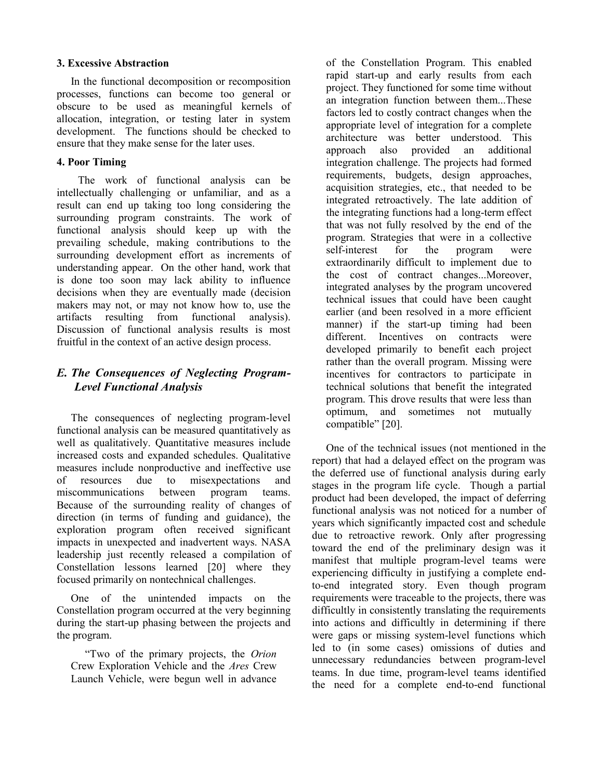### **3. Excessive Abstraction**

In the functional decomposition or recomposition processes, functions can become too general or obscure to be used as meaningful kernels of allocation, integration, or testing later in system development. The functions should be checked to ensure that they make sense for the later uses.

### **4. Poor Timing**

The work of functional analysis can be intellectually challenging or unfamiliar, and as a result can end up taking too long considering the surrounding program constraints. The work of functional analysis should keep up with the prevailing schedule, making contributions to the surrounding development effort as increments of understanding appear. On the other hand, work that is done too soon may lack ability to influence decisions when they are eventually made (decision makers may not, or may not know how to, use the artifacts resulting from functional analysis). Discussion of functional analysis results is most fruitful in the context of an active design process.

## *E. The Consequences of Neglecting Program-Level Functional Analysis*

The consequences of neglecting program-level functional analysis can be measured quantitatively as well as qualitatively. Quantitative measures include increased costs and expanded schedules. Qualitative measures include nonproductive and ineffective use of resources due to misexpectations and miscommunications between program teams. Because of the surrounding reality of changes of direction (in terms of funding and guidance), the exploration program often received significant impacts in unexpected and inadvertent ways. NASA leadership just recently released a compilation of Constellation lessons learned [20] where they focused primarily on nontechnical challenges.

One of the unintended impacts on the Constellation program occurred at the very beginning during the start-up phasing between the projects and the program.

"Two of the primary projects, the *Orion* Crew Exploration Vehicle and the *Ares* Crew Launch Vehicle, were begun well in advance of the Constellation Program. This enabled rapid start-up and early results from each project. They functioned for some time without an integration function between them...These factors led to costly contract changes when the appropriate level of integration for a complete architecture was better understood. This approach also provided an additional integration challenge. The projects had formed requirements, budgets, design approaches, acquisition strategies, etc., that needed to be integrated retroactively. The late addition of the integrating functions had a long-term effect that was not fully resolved by the end of the program. Strategies that were in a collective self-interest for the program were extraordinarily difficult to implement due to the cost of contract changes...Moreover, integrated analyses by the program uncovered technical issues that could have been caught earlier (and been resolved in a more efficient manner) if the start-up timing had been different. Incentives on contracts were developed primarily to benefit each project rather than the overall program. Missing were incentives for contractors to participate in technical solutions that benefit the integrated program. This drove results that were less than optimum, and sometimes not mutually compatible" [20].

One of the technical issues (not mentioned in the report) that had a delayed effect on the program was the deferred use of functional analysis during early stages in the program life cycle. Though a partial product had been developed, the impact of deferring functional analysis was not noticed for a number of years which significantly impacted cost and schedule due to retroactive rework. Only after progressing toward the end of the preliminary design was it manifest that multiple program-level teams were experiencing difficulty in justifying a complete endto-end integrated story. Even though program requirements were traceable to the projects, there was difficultly in consistently translating the requirements into actions and difficultly in determining if there were gaps or missing system-level functions which led to (in some cases) omissions of duties and unnecessary redundancies between program-level teams. In due time, program-level teams identified the need for a complete end-to-end functional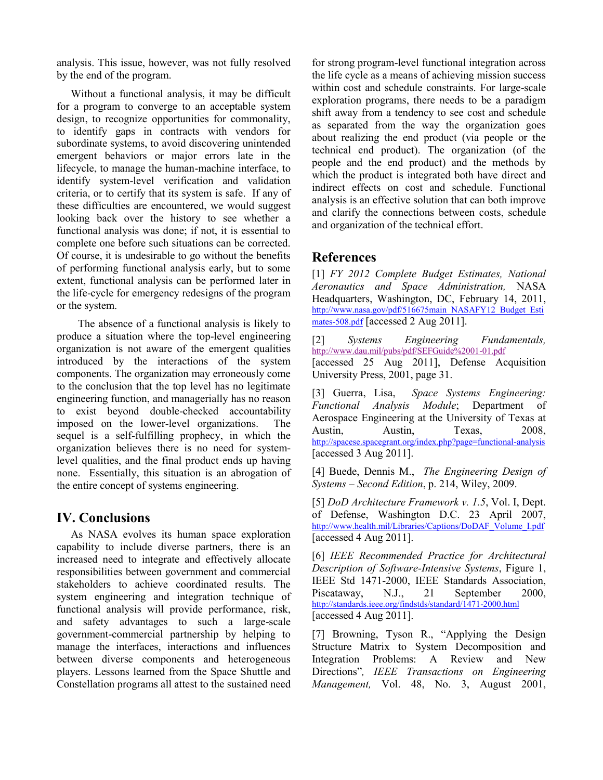analysis. This issue, however, was not fully resolved by the end of the program.

Without a functional analysis, it may be difficult for a program to converge to an acceptable system design, to recognize opportunities for commonality, to identify gaps in contracts with vendors for subordinate systems, to avoid discovering unintended emergent behaviors or major errors late in the lifecycle, to manage the human-machine interface, to identify system-level verification and validation criteria, or to certify that its system is safe. If any of these difficulties are encountered, we would suggest looking back over the history to see whether a functional analysis was done; if not, it is essential to complete one before such situations can be corrected. Of course, it is undesirable to go without the benefits of performing functional analysis early, but to some extent, functional analysis can be performed later in the life-cycle for emergency redesigns of the program or the system.

The absence of a functional analysis is likely to produce a situation where the top-level engineering organization is not aware of the emergent qualities introduced by the interactions of the system components. The organization may erroneously come to the conclusion that the top level has no legitimate engineering function, and managerially has no reason to exist beyond double-checked accountability imposed on the lower-level organizations. The sequel is a self-fulfilling prophecy, in which the organization believes there is no need for systemlevel qualities, and the final product ends up having none. Essentially, this situation is an abrogation of the entire concept of systems engineering.

## **IV. Conclusions**

As NASA evolves its human space exploration capability to include diverse partners, there is an increased need to integrate and effectively allocate responsibilities between government and commercial stakeholders to achieve coordinated results. The system engineering and integration technique of functional analysis will provide performance, risk, and safety advantages to such a large-scale government-commercial partnership by helping to manage the interfaces, interactions and influences between diverse components and heterogeneous players. Lessons learned from the Space Shuttle and Constellation programs all attest to the sustained need

for strong program-level functional integration across the life cycle as a means of achieving mission success within cost and schedule constraints. For large-scale exploration programs, there needs to be a paradigm shift away from a tendency to see cost and schedule as separated from the way the organization goes about realizing the end product (via people or the technical end product). The organization (of the people and the end product) and the methods by which the product is integrated both have direct and indirect effects on cost and schedule. Functional analysis is an effective solution that can both improve and clarify the connections between costs, schedule and organization of the technical effort.

# **References**

[1] *FY 2012 Complete Budget Estimates, National Aeronautics and Space Administration,* NASA Headquarters, Washington, DC, February 14, 2011, [http://www.nasa.gov/pdf/516675main\\_NASAFY12\\_Budget\\_Esti](http://www.nasa.gov/pdf/516675main_NASAFY12_Budget_Estimates-508.pdf) [mates-508.pdf](http://www.nasa.gov/pdf/516675main_NASAFY12_Budget_Estimates-508.pdf) [accessed 2 Aug 2011].

[2] *Systems Engineering Fundamentals,*  <http://www.dau.mil/pubs/pdf/SEFGuide%2001-01.pdf> [accessed 25 Aug 2011], Defense Acquisition University Press, 2001, page 31.

[3] Guerra, Lisa, *Space Systems Engineering: Functional Analysis Module*; Department of Aerospace Engineering at the University of Texas at Austin, Austin, Texas, 2008, <http://spacese.spacegrant.org/index.php?page=functional-analysis> [accessed 3 Aug 2011].

[4] Buede, Dennis M., *The Engineering Design of Systems – Second Edition*, p. 214, Wiley, 2009.

[5] *DoD Architecture Framework v. 1.5*, Vol. I, Dept. of Defense, Washington D.C. 23 April 2007, [http://www.health.mil/Libraries/Captions/DoDAF\\_Volume\\_I.pdf](http://www.health.mil/Libraries/Captions/DoDAF_Volume_I.pdf) [accessed 4 Aug 2011].

[6] *IEEE Recommended Practice for Architectural Description of Software-Intensive Systems*, Figure 1, IEEE Std 1471-2000, IEEE Standards Association, Piscataway, N.J., 21 September 2000, <http://standards.ieee.org/findstds/standard/1471-2000.html> [accessed 4 Aug 2011].

[7] Browning, Tyson R., "Applying the Design Structure Matrix to System Decomposition and Integration Problems: A Review and New Directions"*, IEEE Transactions on Engineering Management,* Vol. 48, No. 3, August 2001,